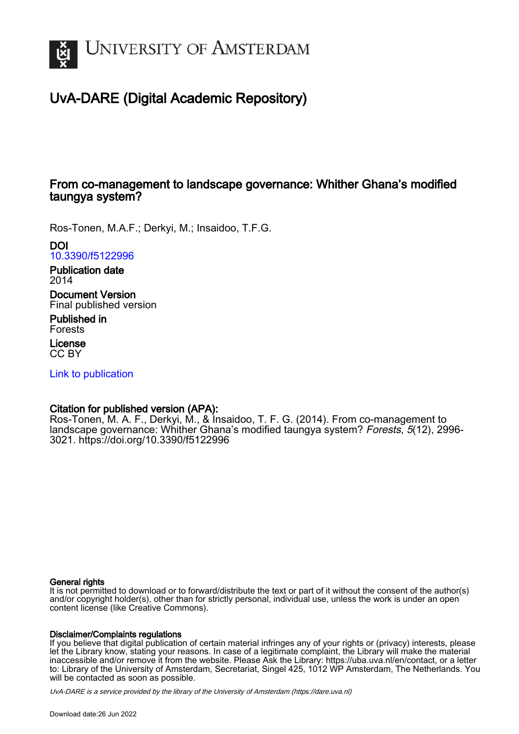

# UvA-DARE (Digital Academic Repository)

# From co-management to landscape governance: Whither Ghana's modified taungya system?

Ros-Tonen, M.A.F.; Derkyi, M.; Insaidoo, T.F.G.

DOI [10.3390/f5122996](https://doi.org/10.3390/f5122996)

Publication date 2014

Document Version Final published version

Published in Forests

License CC BY

[Link to publication](https://dare.uva.nl/personal/pure/en/publications/from-comanagement-to-landscape-governance-whither-ghanas-modified-taungya-system(97edd8e8-c50d-4700-989e-442e7fb2b705).html)

#### Citation for published version (APA):

Ros-Tonen, M. A. F., Derkyi, M., & Insaidoo, T. F. G. (2014). From co-management to landscape governance: Whither Ghana's modified taungya system? Forests, 5(12), 2996-3021.<https://doi.org/10.3390/f5122996>

#### General rights

It is not permitted to download or to forward/distribute the text or part of it without the consent of the author(s) and/or copyright holder(s), other than for strictly personal, individual use, unless the work is under an open content license (like Creative Commons).

#### Disclaimer/Complaints regulations

If you believe that digital publication of certain material infringes any of your rights or (privacy) interests, please let the Library know, stating your reasons. In case of a legitimate complaint, the Library will make the material inaccessible and/or remove it from the website. Please Ask the Library: https://uba.uva.nl/en/contact, or a letter to: Library of the University of Amsterdam, Secretariat, Singel 425, 1012 WP Amsterdam, The Netherlands. You will be contacted as soon as possible.

UvA-DARE is a service provided by the library of the University of Amsterdam (http*s*://dare.uva.nl)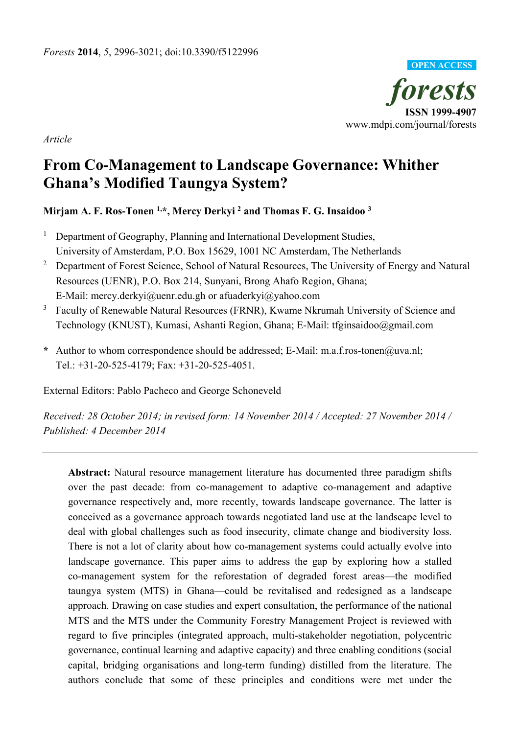

*Article*

# **From Co-Management to Landscape Governance: Whither Ghana's Modified Taungya System?**

# **Mirjam A. F. Ros-Tonen 1, \*, Mercy Derkyi <sup>2</sup> and Thomas F. G. Insaidoo <sup>3</sup>**

- <sup>1</sup> Department of Geography, Planning and International Development Studies, University of Amsterdam, P.O. Box 15629, 1001 NC Amsterdam, The Netherlands
- <sup>2</sup> Department of Forest Science, School of Natural Resources, The University of Energy and Natural Resources (UENR), P.O. Box 214, Sunyani, Brong Ahafo Region, Ghana; E-Mail: mercy.derkyi@uenr.edu.gh or afuaderkyi@yahoo.com
- <sup>3</sup> Faculty of Renewable Natural Resources (FRNR), Kwame Nkrumah University of Science and Technology (KNUST), Kumasi, Ashanti Region, Ghana; E-Mail: tfginsaidoo@gmail.com
- **\*** Author to whom correspondence should be addressed; E-Mail: m.a.f.ros-tonen@uva.nl; Tel.: +31-20-525-4179; Fax: +31-20-525-4051.

External Editors: Pablo Pacheco and George Schoneveld

*Received: 28 October 2014; in revised form: 14 November 2014 / Accepted: 27 November 2014 / Published: 4 December 2014* 

**Abstract:** Natural resource management literature has documented three paradigm shifts over the past decade: from co-management to adaptive co-management and adaptive governance respectively and, more recently, towards landscape governance. The latter is conceived as a governance approach towards negotiated land use at the landscape level to deal with global challenges such as food insecurity, climate change and biodiversity loss. There is not a lot of clarity about how co-management systems could actually evolve into landscape governance. This paper aims to address the gap by exploring how a stalled co-management system for the reforestation of degraded forest areas—the modified taungya system (MTS) in Ghana—could be revitalised and redesigned as a landscape approach. Drawing on case studies and expert consultation, the performance of the national MTS and the MTS under the Community Forestry Management Project is reviewed with regard to five principles (integrated approach, multi-stakeholder negotiation, polycentric governance, continual learning and adaptive capacity) and three enabling conditions (social capital, bridging organisations and long-term funding) distilled from the literature. The authors conclude that some of these principles and conditions were met under the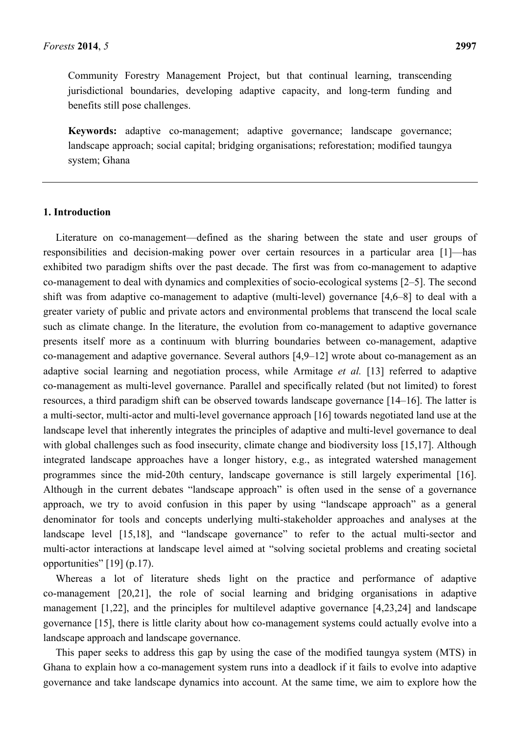Community Forestry Management Project, but that continual learning, transcending jurisdictional boundaries, developing adaptive capacity, and long-term funding and benefits still pose challenges.

**Keywords:** adaptive co-management; adaptive governance; landscape governance; landscape approach; social capital; bridging organisations; reforestation; modified taungya system; Ghana

#### **1. Introduction**

Literature on co-management—defined as the sharing between the state and user groups of responsibilities and decision-making power over certain resources in a particular area [1]—has exhibited two paradigm shifts over the past decade. The first was from co-management to adaptive co-management to deal with dynamics and complexities of socio-ecological systems [2–5]. The second shift was from adaptive co-management to adaptive (multi-level) governance [4,6–8] to deal with a greater variety of public and private actors and environmental problems that transcend the local scale such as climate change. In the literature, the evolution from co-management to adaptive governance presents itself more as a continuum with blurring boundaries between co-management, adaptive co-management and adaptive governance. Several authors [4,9–12] wrote about co-management as an adaptive social learning and negotiation process, while Armitage *et al.* [13] referred to adaptive co-management as multi-level governance. Parallel and specifically related (but not limited) to forest resources, a third paradigm shift can be observed towards landscape governance [14–16]. The latter is a multi-sector, multi-actor and multi-level governance approach [16] towards negotiated land use at the landscape level that inherently integrates the principles of adaptive and multi-level governance to deal with global challenges such as food insecurity, climate change and biodiversity loss [15,17]. Although integrated landscape approaches have a longer history, e.g., as integrated watershed management programmes since the mid-20th century, landscape governance is still largely experimental [16]. Although in the current debates "landscape approach" is often used in the sense of a governance approach, we try to avoid confusion in this paper by using "landscape approach" as a general denominator for tools and concepts underlying multi-stakeholder approaches and analyses at the landscape level [15,18], and "landscape governance" to refer to the actual multi-sector and multi-actor interactions at landscape level aimed at "solving societal problems and creating societal opportunities" [19] (p.17).

Whereas a lot of literature sheds light on the practice and performance of adaptive co-management [20,21], the role of social learning and bridging organisations in adaptive management [1,22], and the principles for multilevel adaptive governance [4,23,24] and landscape governance [15], there is little clarity about how co-management systems could actually evolve into a landscape approach and landscape governance.

This paper seeks to address this gap by using the case of the modified taungya system (MTS) in Ghana to explain how a co-management system runs into a deadlock if it fails to evolve into adaptive governance and take landscape dynamics into account. At the same time, we aim to explore how the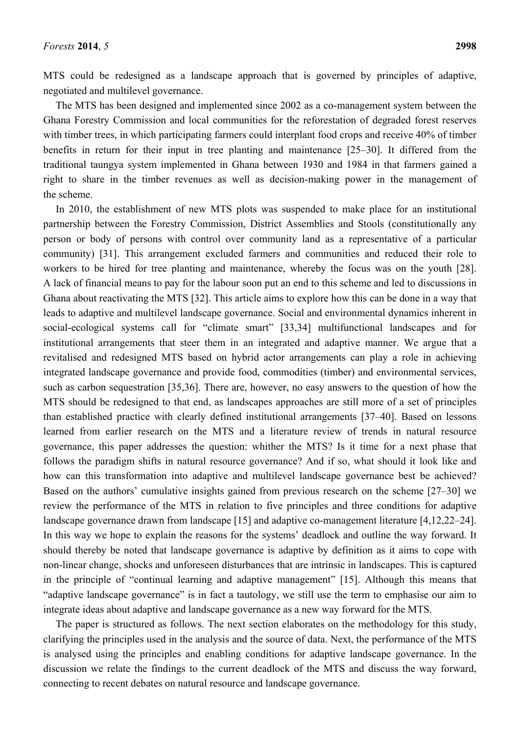MTS could be redesigned as a landscape approach that is governed by principles of adaptive, negotiated and multilevel governance.

The MTS has been designed and implemented since 2002 as a co-management system between the Ghana Forestry Commission and local communities for the reforestation of degraded forest reserves with timber trees, in which participating farmers could interplant food crops and receive 40% of timber benefits in return for their input in tree planting and maintenance [25–30]. It differed from the traditional taungya system implemented in Ghana between 1930 and 1984 in that farmers gained a right to share in the timber revenues as well as decision-making power in the management of the scheme.

In 2010, the establishment of new MTS plots was suspended to make place for an institutional partnership between the Forestry Commission, District Assemblies and Stools (constitutionally any person or body of persons with control over community land as a representative of a particular community) [31]. This arrangement excluded farmers and communities and reduced their role to workers to be hired for tree planting and maintenance, whereby the focus was on the youth [28]. A lack of financial means to pay for the labour soon put an end to this scheme and led to discussions in Ghana about reactivating the MTS [32]. This article aims to explore how this can be done in a way that leads to adaptive and multilevel landscape governance. Social and environmental dynamics inherent in social-ecological systems call for "climate smart" [33,34] multifunctional landscapes and for institutional arrangements that steer them in an integrated and adaptive manner. We argue that a revitalised and redesigned MTS based on hybrid actor arrangements can play a role in achieving integrated landscape governance and provide food, commodities (timber) and environmental services, such as carbon sequestration [35,36]. There are, however, no easy answers to the question of how the MTS should be redesigned to that end, as landscapes approaches are still more of a set of principles than established practice with clearly defined institutional arrangements [37–40]. Based on lessons learned from earlier research on the MTS and a literature review of trends in natural resource governance, this paper addresses the question: whither the MTS? Is it time for a next phase that follows the paradigm shifts in natural resource governance? And if so, what should it look like and how can this transformation into adaptive and multilevel landscape governance best be achieved? Based on the authors' cumulative insights gained from previous research on the scheme [27–30] we review the performance of the MTS in relation to five principles and three conditions for adaptive landscape governance drawn from landscape [15] and adaptive co-management literature [4,12,22–24]. In this way we hope to explain the reasons for the systems' deadlock and outline the way forward. It should thereby be noted that landscape governance is adaptive by definition as it aims to cope with non-linear change, shocks and unforeseen disturbances that are intrinsic in landscapes. This is captured in the principle of "continual learning and adaptive management" [15]. Although this means that "adaptive landscape governance" is in fact a tautology, we still use the term to emphasise our aim to integrate ideas about adaptive and landscape governance as a new way forward for the MTS.

The paper is structured as follows. The next section elaborates on the methodology for this study, clarifying the principles used in the analysis and the source of data. Next, the performance of the MTS is analysed using the principles and enabling conditions for adaptive landscape governance. In the discussion we relate the findings to the current deadlock of the MTS and discuss the way forward, connecting to recent debates on natural resource and landscape governance.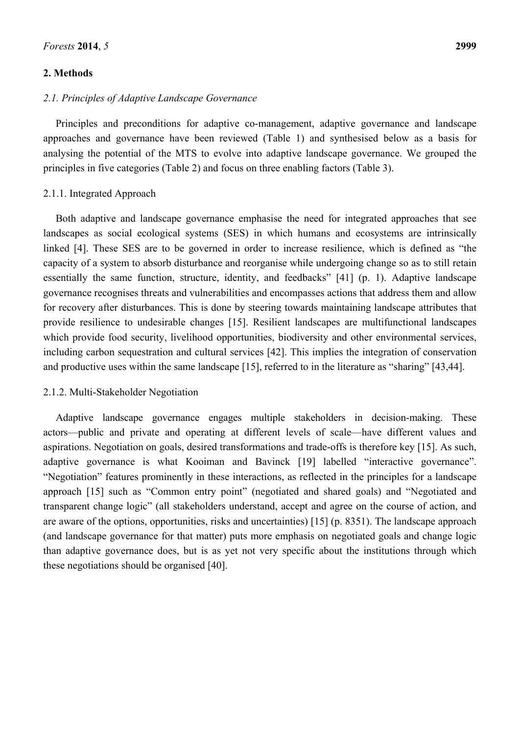#### **2. Methods**

#### *2.1. Principles of Adaptive Landscape Governance*

Principles and preconditions for adaptive co-management, adaptive governance and landscape approaches and governance have been reviewed (Table 1) and synthesised below as a basis for analysing the potential of the MTS to evolve into adaptive landscape governance. We grouped the principles in five categories (Table 2) and focus on three enabling factors (Table 3).

#### 2.1.1. Integrated Approach

Both adaptive and landscape governance emphasise the need for integrated approaches that see landscapes as social ecological systems (SES) in which humans and ecosystems are intrinsically linked [4]. These SES are to be governed in order to increase resilience, which is defined as "the capacity of a system to absorb disturbance and reorganise while undergoing change so as to still retain essentially the same function, structure, identity, and feedbacks" [41] (p. 1). Adaptive landscape governance recognises threats and vulnerabilities and encompasses actions that address them and allow for recovery after disturbances. This is done by steering towards maintaining landscape attributes that provide resilience to undesirable changes [15]. Resilient landscapes are multifunctional landscapes which provide food security, livelihood opportunities, biodiversity and other environmental services, including carbon sequestration and cultural services [42]. This implies the integration of conservation and productive uses within the same landscape [15], referred to in the literature as "sharing" [43,44].

#### 2.1.2. Multi-Stakeholder Negotiation

Adaptive landscape governance engages multiple stakeholders in decision-making. These actors—public and private and operating at different levels of scale—have different values and aspirations. Negotiation on goals, desired transformations and trade-offs is therefore key [15]. As such, adaptive governance is what Kooiman and Bavinck [19] labelled "interactive governance". "Negotiation" features prominently in these interactions, as reflected in the principles for a landscape approach [15] such as "Common entry point" (negotiated and shared goals) and "Negotiated and transparent change logic" (all stakeholders understand, accept and agree on the course of action, and are aware of the options, opportunities, risks and uncertainties) [15] (p. 8351). The landscape approach (and landscape governance for that matter) puts more emphasis on negotiated goals and change logic than adaptive governance does, but is as yet not very specific about the institutions through which these negotiations should be organised [40].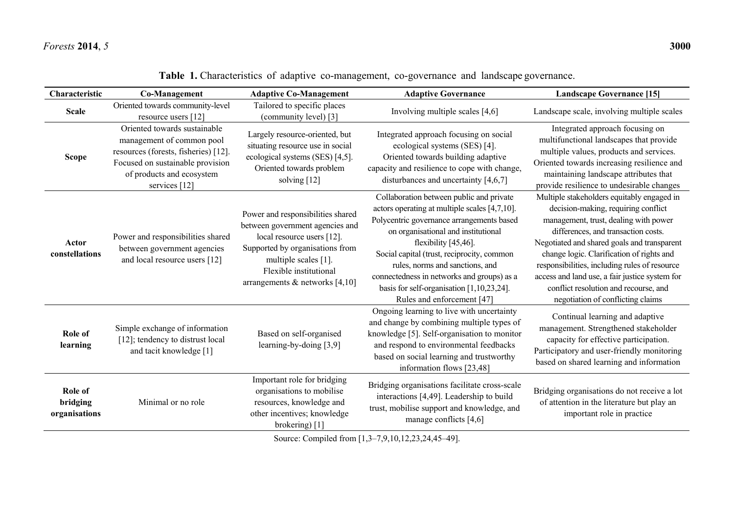| Characteristic                       | Co-Management                                                                                                                                                                       | <b>Adaptive Co-Management</b>                                                                                                                                                                                               | <b>Adaptive Governance</b>                                                                                                                                                                                                                                                                                                                                                                                         | <b>Landscape Governance [15]</b>                                                                                                                                                                                                                                                                                                                                                                                                               |
|--------------------------------------|-------------------------------------------------------------------------------------------------------------------------------------------------------------------------------------|-----------------------------------------------------------------------------------------------------------------------------------------------------------------------------------------------------------------------------|--------------------------------------------------------------------------------------------------------------------------------------------------------------------------------------------------------------------------------------------------------------------------------------------------------------------------------------------------------------------------------------------------------------------|------------------------------------------------------------------------------------------------------------------------------------------------------------------------------------------------------------------------------------------------------------------------------------------------------------------------------------------------------------------------------------------------------------------------------------------------|
| <b>Scale</b>                         | Oriented towards community-level<br>resource users [12]                                                                                                                             | Tailored to specific places<br>(community level) [3]                                                                                                                                                                        | Involving multiple scales [4,6]                                                                                                                                                                                                                                                                                                                                                                                    | Landscape scale, involving multiple scales                                                                                                                                                                                                                                                                                                                                                                                                     |
| <b>Scope</b>                         | Oriented towards sustainable<br>management of common pool<br>resources (forests, fisheries) [12].<br>Focused on sustainable provision<br>of products and ecosystem<br>services [12] | Largely resource-oriented, but<br>situating resource use in social<br>ecological systems (SES) [4,5].<br>Oriented towards problem<br>solving [12]                                                                           | Integrated approach focusing on social<br>ecological systems (SES) [4].<br>Oriented towards building adaptive<br>capacity and resilience to cope with change,<br>disturbances and uncertainty $[4,6,7]$                                                                                                                                                                                                            | Integrated approach focusing on<br>multifunctional landscapes that provide<br>multiple values, products and services.<br>Oriented towards increasing resilience and<br>maintaining landscape attributes that<br>provide resilience to undesirable changes                                                                                                                                                                                      |
| Actor<br>constellations              | Power and responsibilities shared<br>between government agencies<br>and local resource users [12]                                                                                   | Power and responsibilities shared<br>between government agencies and<br>local resource users [12].<br>Supported by organisations from<br>multiple scales [1].<br>Flexible institutional<br>arrangements & networks $[4,10]$ | Collaboration between public and private<br>actors operating at multiple scales [4,7,10].<br>Polycentric governance arrangements based<br>on organisational and institutional<br>flexibility [45,46].<br>Social capital (trust, reciprocity, common<br>rules, norms and sanctions, and<br>connectedness in networks and groups) as a<br>basis for self-organisation $[1,10,23,24]$ .<br>Rules and enforcement [47] | Multiple stakeholders equitably engaged in<br>decision-making, requiring conflict<br>management, trust, dealing with power<br>differences, and transaction costs.<br>Negotiated and shared goals and transparent<br>change logic. Clarification of rights and<br>responsibilities, including rules of resource<br>access and land use, a fair justice system for<br>conflict resolution and recourse, and<br>negotiation of conflicting claims |
| Role of<br>learning                  | Simple exchange of information<br>[12]; tendency to distrust local<br>and tacit knowledge [1]                                                                                       | Based on self-organised<br>learning-by-doing $[3,9]$                                                                                                                                                                        | Ongoing learning to live with uncertainty<br>and change by combining multiple types of<br>knowledge [5]. Self-organisation to monitor<br>and respond to environmental feedbacks<br>based on social learning and trustworthy<br>information flows [23,48]                                                                                                                                                           | Continual learning and adaptive<br>management. Strengthened stakeholder<br>capacity for effective participation.<br>Participatory and user-friendly monitoring<br>based on shared learning and information                                                                                                                                                                                                                                     |
| Role of<br>bridging<br>organisations | Minimal or no role                                                                                                                                                                  | Important role for bridging<br>organisations to mobilise<br>resources, knowledge and<br>other incentives; knowledge<br>brokering) [1]                                                                                       | Bridging organisations facilitate cross-scale<br>interactions [4,49]. Leadership to build<br>trust, mobilise support and knowledge, and<br>manage conflicts $[4,6]$                                                                                                                                                                                                                                                | Bridging organisations do not receive a lot<br>of attention in the literature but play an<br>important role in practice                                                                                                                                                                                                                                                                                                                        |

**Table 1.** Characteristics of adaptive co-management, co-governance and landscape governance.

Source: Compiled from [1,3–7,9,10,12,23,24,45–49].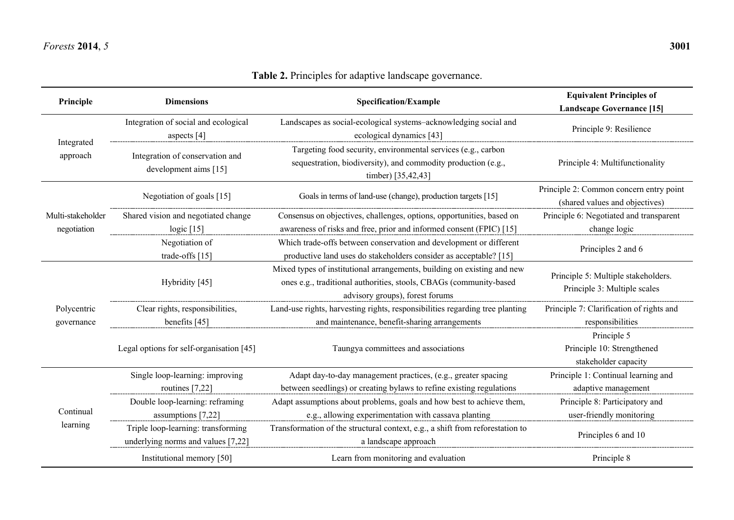# *Forests* **2014**, *5* **3001**

# **Table 2.** Principles for adaptive landscape governance.

| Principle                        | <b>Dimensions</b>                                                        | <b>Specification/Example</b>                                                                                                                                                     | <b>Equivalent Principles of</b><br><b>Landscape Governance [15]</b>       |
|----------------------------------|--------------------------------------------------------------------------|----------------------------------------------------------------------------------------------------------------------------------------------------------------------------------|---------------------------------------------------------------------------|
|                                  | Integration of social and ecological<br>aspects [4]                      | Landscapes as social-ecological systems-acknowledging social and<br>ecological dynamics [43]                                                                                     | Principle 9: Resilience                                                   |
| Integrated<br>approach           | Integration of conservation and<br>development aims [15]                 | Targeting food security, environmental services (e.g., carbon<br>sequestration, biodiversity), and commodity production (e.g.,<br>timber) [35,42,43]                             | Principle 4: Multifunctionality                                           |
|                                  | Negotiation of goals [15]                                                | Goals in terms of land-use (change), production targets [15]                                                                                                                     | Principle 2: Common concern entry point<br>(shared values and objectives) |
| Multi-stakeholder<br>negotiation | Shared vision and negotiated change<br>logic $[15]$                      | Consensus on objectives, challenges, options, opportunities, based on<br>awareness of risks and free, prior and informed consent (FPIC) [15]                                     | Principle 6: Negotiated and transparent<br>change logic                   |
|                                  | Negotiation of<br>trade-offs [15]                                        | Which trade-offs between conservation and development or different<br>productive land uses do stakeholders consider as acceptable? [15]                                          | Principles 2 and 6                                                        |
|                                  | Hybridity [45]                                                           | Mixed types of institutional arrangements, building on existing and new<br>ones e.g., traditional authorities, stools, CBAGs (community-based<br>advisory groups), forest forums | Principle 5: Multiple stakeholders.<br>Principle 3: Multiple scales       |
| Polycentric                      | Clear rights, responsibilities,<br>benefits [45]                         | Land-use rights, harvesting rights, responsibilities regarding tree planting<br>and maintenance, benefit-sharing arrangements                                                    | Principle 7: Clarification of rights and<br>responsibilities              |
| governance                       | Legal options for self-organisation [45]                                 | Taungya committees and associations                                                                                                                                              | Principle 5<br>Principle 10: Strengthened<br>stakeholder capacity         |
|                                  | Single loop-learning: improving<br>routines $[7,22]$                     | Adapt day-to-day management practices, (e.g., greater spacing<br>between seedlings) or creating bylaws to refine existing regulations                                            | Principle 1: Continual learning and<br>adaptive management                |
| Continual                        | Double loop-learning: reframing<br>assumptions [7,22]                    | Adapt assumptions about problems, goals and how best to achieve them,<br>e.g., allowing experimentation with cassava planting                                                    | Principle 8: Participatory and<br>user-friendly monitoring                |
| learning                         | Triple loop-learning: transforming<br>underlying norms and values [7,22] | Transformation of the structural context, e.g., a shift from reforestation to<br>a landscape approach                                                                            | Principles 6 and 10                                                       |
|                                  | Institutional memory [50]                                                | Learn from monitoring and evaluation                                                                                                                                             | Principle 8                                                               |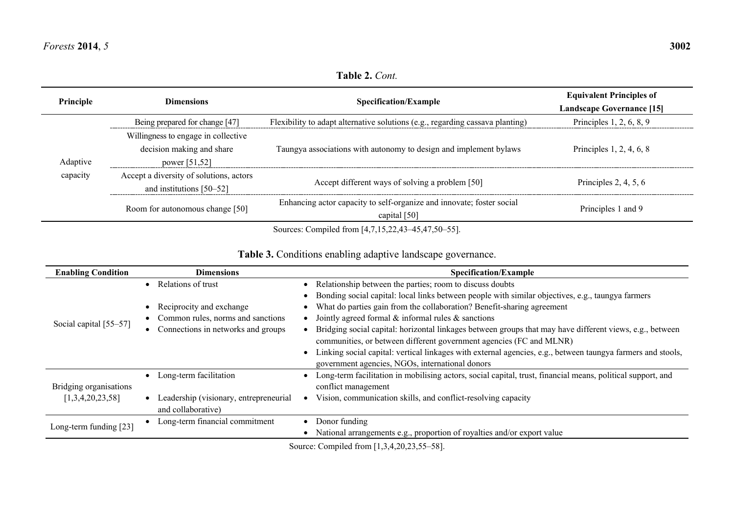**Table 2.** *Cont.*

| Principle | Dimensions                                                                        | <b>Specification/Example</b>                                                          | <b>Equivalent Principles of</b><br><b>Landscape Governance [15]</b> |
|-----------|-----------------------------------------------------------------------------------|---------------------------------------------------------------------------------------|---------------------------------------------------------------------|
|           | Being prepared for change [47]                                                    | Flexibility to adapt alternative solutions (e.g., regarding cassava planting)         | Principles 1, 2, 6, 8, 9                                            |
| Adaptive  | Willingness to engage in collective<br>decision making and share<br>power [51,52] | Taungya associations with autonomy to design and implement bylaws                     | Principles $1, 2, 4, 6, 8$                                          |
| capacity  | Accept a diversity of solutions, actors<br>and institutions $[50-52]$             | Accept different ways of solving a problem [50]                                       | Principles 2, 4, 5, $6$                                             |
|           | Room for autonomous change [50]                                                   | Enhancing actor capacity to self-organize and innovate; foster social<br>capital [50] | Principles 1 and 9                                                  |

Sources: Compiled from [4,7,15,22,43–45,47,50–55].

|  |  |  |  |  | Table 3. Conditions enabling adaptive landscape governance. |
|--|--|--|--|--|-------------------------------------------------------------|
|--|--|--|--|--|-------------------------------------------------------------|

| <b>Enabling Condition</b> | <b>Dimensions</b>                      | <b>Specification/Example</b>                                                                                             |
|---------------------------|----------------------------------------|--------------------------------------------------------------------------------------------------------------------------|
|                           | • Relations of trust                   | Relationship between the parties; room to discuss doubts                                                                 |
|                           |                                        | Bonding social capital: local links between people with similar objectives, e.g., taungya farmers                        |
|                           | • Reciprocity and exchange             | What do parties gain from the collaboration? Benefit-sharing agreement                                                   |
| Social capital [55–57]    | Common rules, norms and sanctions      | Jointly agreed formal $\&$ informal rules $\&$ sanctions                                                                 |
|                           | Connections in networks and groups     | Bridging social capital: horizontal linkages between groups that may have different views, e.g., between                 |
|                           |                                        | communities, or between different government agencies (FC and MLNR)                                                      |
|                           |                                        | Linking social capital: vertical linkages with external agencies, e.g., between taungya farmers and stools,<br>$\bullet$ |
|                           |                                        | government agencies, NGOs, international donors                                                                          |
|                           | • Long-term facilitation               | Long-term facilitation in mobilising actors, social capital, trust, financial means, political support, and              |
| Bridging organisations    |                                        | conflict management                                                                                                      |
| [1,3,4,20,23,58]          | Leadership (visionary, entrepreneurial | Vision, communication skills, and conflict-resolving capacity                                                            |
|                           | and collaborative)                     |                                                                                                                          |
| Long-term funding [23]    | Long-term financial commitment         | Donor funding                                                                                                            |
|                           |                                        | National arrangements e.g., proportion of royalties and/or export value                                                  |

Source: Compiled from [1,3,4,20,23,55–58].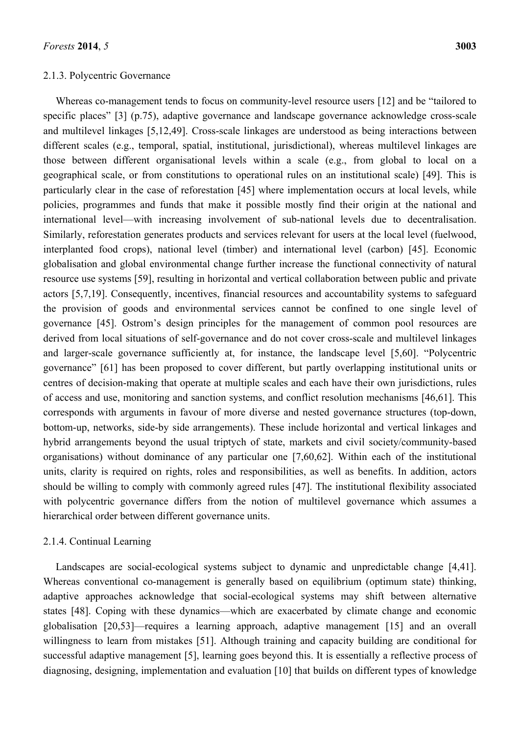#### 2.1.3. Polycentric Governance

Whereas co-management tends to focus on community-level resource users [12] and be "tailored to specific places" [3] (p.75), adaptive governance and landscape governance acknowledge cross-scale and multilevel linkages [5,12,49]. Cross-scale linkages are understood as being interactions between different scales (e.g., temporal, spatial, institutional, jurisdictional), whereas multilevel linkages are those between different organisational levels within a scale (e.g., from global to local on a geographical scale, or from constitutions to operational rules on an institutional scale) [49]. This is particularly clear in the case of reforestation [45] where implementation occurs at local levels, while policies, programmes and funds that make it possible mostly find their origin at the national and international level—with increasing involvement of sub-national levels due to decentralisation. Similarly, reforestation generates products and services relevant for users at the local level (fuelwood, interplanted food crops), national level (timber) and international level (carbon) [45]. Economic globalisation and global environmental change further increase the functional connectivity of natural resource use systems [59], resulting in horizontal and vertical collaboration between public and private actors [5,7,19]. Consequently, incentives, financial resources and accountability systems to safeguard the provision of goods and environmental services cannot be confined to one single level of governance [45]. Ostrom's design principles for the management of common pool resources are derived from local situations of self-governance and do not cover cross-scale and multilevel linkages and larger-scale governance sufficiently at, for instance, the landscape level [5,60]. "Polycentric governance" [61] has been proposed to cover different, but partly overlapping institutional units or centres of decision-making that operate at multiple scales and each have their own jurisdictions, rules of access and use, monitoring and sanction systems, and conflict resolution mechanisms [46,61]. This corresponds with arguments in favour of more diverse and nested governance structures (top-down, bottom-up, networks, side-by side arrangements). These include horizontal and vertical linkages and hybrid arrangements beyond the usual triptych of state, markets and civil society/community-based organisations) without dominance of any particular one [7,60,62]. Within each of the institutional units, clarity is required on rights, roles and responsibilities, as well as benefits. In addition, actors should be willing to comply with commonly agreed rules [47]. The institutional flexibility associated with polycentric governance differs from the notion of multilevel governance which assumes a hierarchical order between different governance units.

#### 2.1.4. Continual Learning

Landscapes are social-ecological systems subject to dynamic and unpredictable change [4,41]. Whereas conventional co-management is generally based on equilibrium (optimum state) thinking, adaptive approaches acknowledge that social-ecological systems may shift between alternative states [48]. Coping with these dynamics—which are exacerbated by climate change and economic globalisation [20,53]—requires a learning approach, adaptive management [15] and an overall willingness to learn from mistakes [51]. Although training and capacity building are conditional for successful adaptive management [5], learning goes beyond this. It is essentially a reflective process of diagnosing, designing, implementation and evaluation [10] that builds on different types of knowledge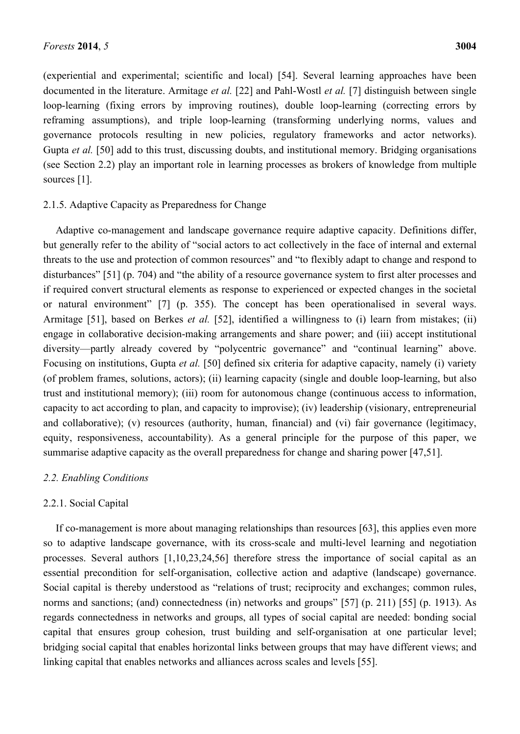(experiential and experimental; scientific and local) [54]. Several learning approaches have been documented in the literature. Armitage *et al.* [22] and Pahl-Wostl *et al.* [7] distinguish between single loop-learning (fixing errors by improving routines), double loop-learning (correcting errors by reframing assumptions), and triple loop-learning (transforming underlying norms, values and governance protocols resulting in new policies, regulatory frameworks and actor networks). Gupta *et al.* [50] add to this trust, discussing doubts, and institutional memory. Bridging organisations (see Section 2.2) play an important role in learning processes as brokers of knowledge from multiple sources [1].

#### 2.1.5. Adaptive Capacity as Preparedness for Change

Adaptive co-management and landscape governance require adaptive capacity. Definitions differ, but generally refer to the ability of "social actors to act collectively in the face of internal and external threats to the use and protection of common resources" and "to flexibly adapt to change and respond to disturbances" [51] (p. 704) and "the ability of a resource governance system to first alter processes and if required convert structural elements as response to experienced or expected changes in the societal or natural environment" [7] (p. 355). The concept has been operationalised in several ways. Armitage [51], based on Berkes *et al.* [52], identified a willingness to (i) learn from mistakes; (ii) engage in collaborative decision-making arrangements and share power; and (iii) accept institutional diversity—partly already covered by "polycentric governance" and "continual learning" above. Focusing on institutions, Gupta *et al.* [50] defined six criteria for adaptive capacity, namely (i) variety (of problem frames, solutions, actors); (ii) learning capacity (single and double loop-learning, but also trust and institutional memory); (iii) room for autonomous change (continuous access to information, capacity to act according to plan, and capacity to improvise); (iv) leadership (visionary, entrepreneurial and collaborative); (v) resources (authority, human, financial) and (vi) fair governance (legitimacy, equity, responsiveness, accountability). As a general principle for the purpose of this paper, we summarise adaptive capacity as the overall preparedness for change and sharing power [47,51].

#### *2.2. Enabling Conditions*

#### 2.2.1. Social Capital

If co-management is more about managing relationships than resources [63], this applies even more so to adaptive landscape governance, with its cross-scale and multi-level learning and negotiation processes. Several authors [1,10,23,24,56] therefore stress the importance of social capital as an essential precondition for self-organisation, collective action and adaptive (landscape) governance. Social capital is thereby understood as "relations of trust; reciprocity and exchanges; common rules, norms and sanctions; (and) connectedness (in) networks and groups" [57] (p. 211) [55] (p. 1913). As regards connectedness in networks and groups, all types of social capital are needed: bonding social capital that ensures group cohesion, trust building and self-organisation at one particular level; bridging social capital that enables horizontal links between groups that may have different views; and linking capital that enables networks and alliances across scales and levels [55].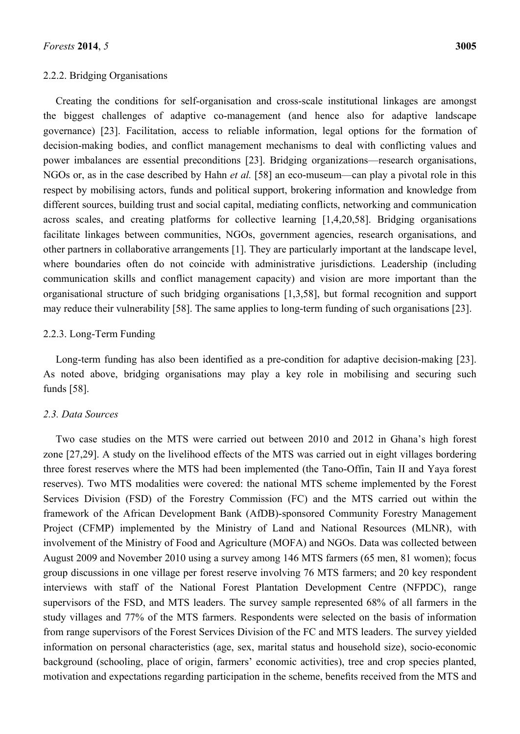#### 2.2.2. Bridging Organisations

Creating the conditions for self-organisation and cross-scale institutional linkages are amongst the biggest challenges of adaptive co-management (and hence also for adaptive landscape governance) [23]. Facilitation, access to reliable information, legal options for the formation of decision-making bodies, and conflict management mechanisms to deal with conflicting values and power imbalances are essential preconditions [23]. Bridging organizations—research organisations, NGOs or, as in the case described by Hahn *et al.* [58] an eco-museum—can play a pivotal role in this respect by mobilising actors, funds and political support, brokering information and knowledge from different sources, building trust and social capital, mediating conflicts, networking and communication across scales, and creating platforms for collective learning [1,4,20,58]. Bridging organisations facilitate linkages between communities, NGOs, government agencies, research organisations, and other partners in collaborative arrangements [1]. They are particularly important at the landscape level, where boundaries often do not coincide with administrative jurisdictions. Leadership (including communication skills and conflict management capacity) and vision are more important than the organisational structure of such bridging organisations [1,3,58], but formal recognition and support may reduce their vulnerability [58]. The same applies to long-term funding of such organisations [23].

#### 2.2.3. Long-Term Funding

Long-term funding has also been identified as a pre-condition for adaptive decision-making [23]. As noted above, bridging organisations may play a key role in mobilising and securing such funds [58].

#### *2.3. Data Sources*

Two case studies on the MTS were carried out between 2010 and 2012 in Ghana's high forest zone [27,29]. A study on the livelihood effects of the MTS was carried out in eight villages bordering three forest reserves where the MTS had been implemented (the Tano-Offin, Tain II and Yaya forest reserves). Two MTS modalities were covered: the national MTS scheme implemented by the Forest Services Division (FSD) of the Forestry Commission (FC) and the MTS carried out within the framework of the African Development Bank (AfDB)-sponsored Community Forestry Management Project (CFMP) implemented by the Ministry of Land and National Resources (MLNR), with involvement of the Ministry of Food and Agriculture (MOFA) and NGOs. Data was collected between August 2009 and November 2010 using a survey among 146 MTS farmers (65 men, 81 women); focus group discussions in one village per forest reserve involving 76 MTS farmers; and 20 key respondent interviews with staff of the National Forest Plantation Development Centre (NFPDC), range supervisors of the FSD, and MTS leaders. The survey sample represented 68% of all farmers in the study villages and 77% of the MTS farmers. Respondents were selected on the basis of information from range supervisors of the Forest Services Division of the FC and MTS leaders. The survey yielded information on personal characteristics (age, sex, marital status and household size), socio-economic background (schooling, place of origin, farmers' economic activities), tree and crop species planted, motivation and expectations regarding participation in the scheme, benefits received from the MTS and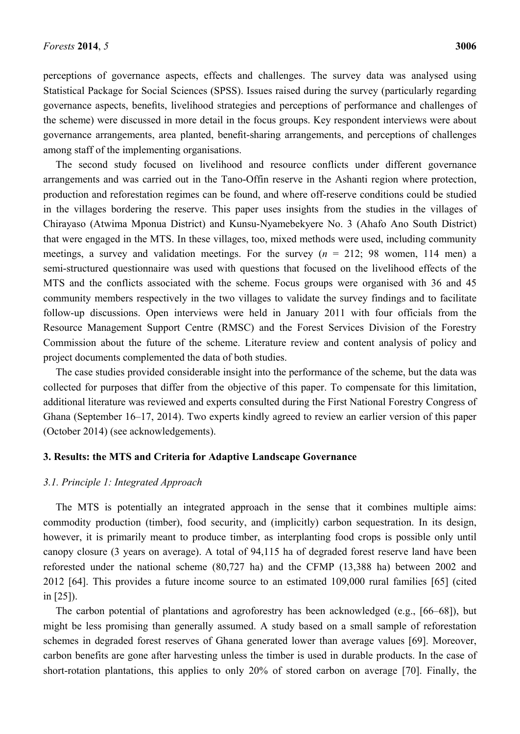perceptions of governance aspects, effects and challenges. The survey data was analysed using Statistical Package for Social Sciences (SPSS). Issues raised during the survey (particularly regarding governance aspects, benefits, livelihood strategies and perceptions of performance and challenges of the scheme) were discussed in more detail in the focus groups. Key respondent interviews were about governance arrangements, area planted, benefit-sharing arrangements, and perceptions of challenges among staff of the implementing organisations.

The second study focused on livelihood and resource conflicts under different governance arrangements and was carried out in the Tano-Offin reserve in the Ashanti region where protection, production and reforestation regimes can be found, and where off-reserve conditions could be studied in the villages bordering the reserve. This paper uses insights from the studies in the villages of Chirayaso (Atwima Mponua District) and Kunsu-Nyamebekyere No. 3 (Ahafo Ano South District) that were engaged in the MTS. In these villages, too, mixed methods were used, including community meetings, a survey and validation meetings. For the survey  $(n = 212; 98 \text{ women}, 114 \text{ men})$  a semi-structured questionnaire was used with questions that focused on the livelihood effects of the MTS and the conflicts associated with the scheme. Focus groups were organised with 36 and 45 community members respectively in the two villages to validate the survey findings and to facilitate follow-up discussions. Open interviews were held in January 2011 with four officials from the Resource Management Support Centre (RMSC) and the Forest Services Division of the Forestry Commission about the future of the scheme. Literature review and content analysis of policy and project documents complemented the data of both studies.

The case studies provided considerable insight into the performance of the scheme, but the data was collected for purposes that differ from the objective of this paper. To compensate for this limitation, additional literature was reviewed and experts consulted during the First National Forestry Congress of Ghana (September 16–17, 2014). Two experts kindly agreed to review an earlier version of this paper (October 2014) (see acknowledgements).

#### **3. Results: the MTS and Criteria for Adaptive Landscape Governance**

#### *3.1. Principle 1: Integrated Approach*

The MTS is potentially an integrated approach in the sense that it combines multiple aims: commodity production (timber), food security, and (implicitly) carbon sequestration. In its design, however, it is primarily meant to produce timber, as interplanting food crops is possible only until canopy closure (3 years on average). A total of 94,115 ha of degraded forest reserve land have been reforested under the national scheme (80,727 ha) and the CFMP (13,388 ha) between 2002 and 2012 [64]. This provides a future income source to an estimated 109,000 rural families [65] (cited in [25]).

The carbon potential of plantations and agroforestry has been acknowledged (e.g., [66–68]), but might be less promising than generally assumed. A study based on a small sample of reforestation schemes in degraded forest reserves of Ghana generated lower than average values [69]. Moreover, carbon benefits are gone after harvesting unless the timber is used in durable products. In the case of short-rotation plantations, this applies to only 20% of stored carbon on average [70]. Finally, the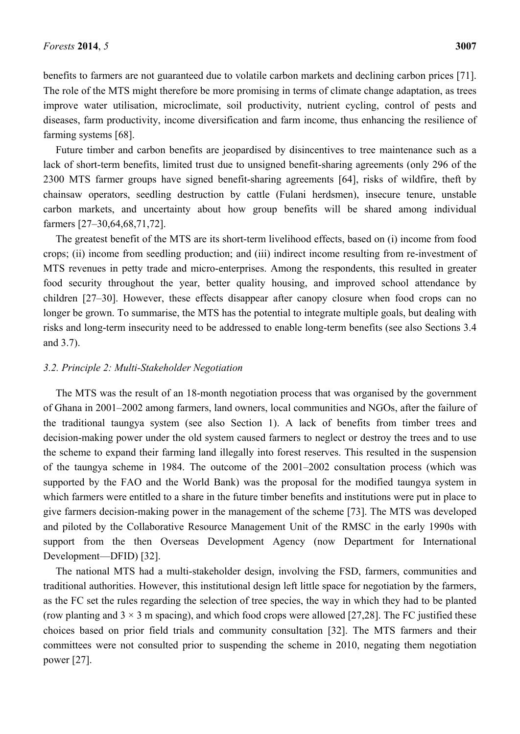benefits to farmers are not guaranteed due to volatile carbon markets and declining carbon prices [71]. The role of the MTS might therefore be more promising in terms of climate change adaptation, as trees improve water utilisation, microclimate, soil productivity, nutrient cycling, control of pests and diseases, farm productivity, income diversification and farm income, thus enhancing the resilience of farming systems [68].

Future timber and carbon benefits are jeopardised by disincentives to tree maintenance such as a lack of short-term benefits, limited trust due to unsigned benefit-sharing agreements (only 296 of the 2300 MTS farmer groups have signed benefit-sharing agreements [64], risks of wildfire, theft by chainsaw operators, seedling destruction by cattle (Fulani herdsmen), insecure tenure, unstable carbon markets, and uncertainty about how group benefits will be shared among individual farmers [27–30,64,68,71,72].

The greatest benefit of the MTS are its short-term livelihood effects, based on (i) income from food crops; (ii) income from seedling production; and (iii) indirect income resulting from re-investment of MTS revenues in petty trade and micro-enterprises. Among the respondents, this resulted in greater food security throughout the year, better quality housing, and improved school attendance by children [27–30]. However, these effects disappear after canopy closure when food crops can no longer be grown. To summarise, the MTS has the potential to integrate multiple goals, but dealing with risks and long-term insecurity need to be addressed to enable long-term benefits (see also Sections 3.4 and 3.7).

#### *3.2. Principle 2: Multi-Stakeholder Negotiation*

The MTS was the result of an 18-month negotiation process that was organised by the government of Ghana in 2001–2002 among farmers, land owners, local communities and NGOs, after the failure of the traditional taungya system (see also Section 1). A lack of benefits from timber trees and decision-making power under the old system caused farmers to neglect or destroy the trees and to use the scheme to expand their farming land illegally into forest reserves. This resulted in the suspension of the taungya scheme in 1984. The outcome of the 2001–2002 consultation process (which was supported by the FAO and the World Bank) was the proposal for the modified taungya system in which farmers were entitled to a share in the future timber benefits and institutions were put in place to give farmers decision-making power in the management of the scheme [73]. The MTS was developed and piloted by the Collaborative Resource Management Unit of the RMSC in the early 1990s with support from the then Overseas Development Agency (now Department for International Development—DFID) [32].

The national MTS had a multi-stakeholder design, involving the FSD, farmers, communities and traditional authorities. However, this institutional design left little space for negotiation by the farmers, as the FC set the rules regarding the selection of tree species, the way in which they had to be planted (row planting and  $3 \times 3$  m spacing), and which food crops were allowed [27,28]. The FC justified these choices based on prior field trials and community consultation [32]. The MTS farmers and their committees were not consulted prior to suspending the scheme in 2010, negating them negotiation power [27].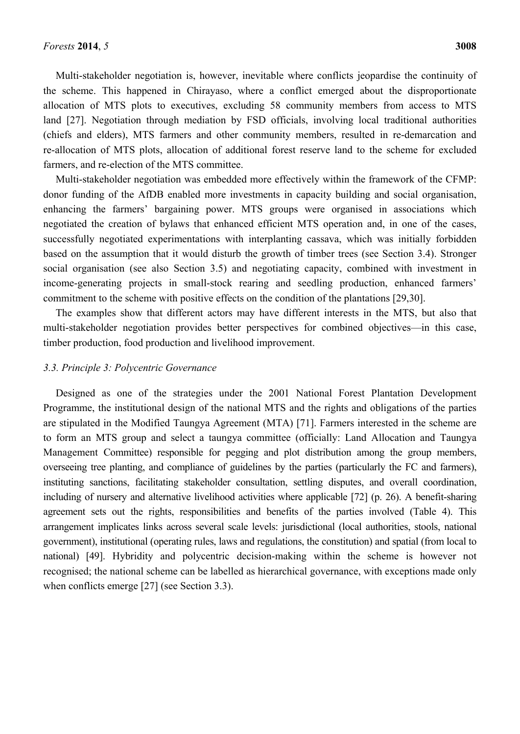Multi-stakeholder negotiation is, however, inevitable where conflicts jeopardise the continuity of the scheme. This happened in Chirayaso, where a conflict emerged about the disproportionate allocation of MTS plots to executives, excluding 58 community members from access to MTS land [27]. Negotiation through mediation by FSD officials, involving local traditional authorities (chiefs and elders), MTS farmers and other community members, resulted in re-demarcation and re-allocation of MTS plots, allocation of additional forest reserve land to the scheme for excluded farmers, and re-election of the MTS committee.

Multi-stakeholder negotiation was embedded more effectively within the framework of the CFMP: donor funding of the AfDB enabled more investments in capacity building and social organisation, enhancing the farmers' bargaining power. MTS groups were organised in associations which negotiated the creation of bylaws that enhanced efficient MTS operation and, in one of the cases, successfully negotiated experimentations with interplanting cassava, which was initially forbidden based on the assumption that it would disturb the growth of timber trees (see Section 3.4). Stronger social organisation (see also Section 3.5) and negotiating capacity, combined with investment in income-generating projects in small-stock rearing and seedling production, enhanced farmers' commitment to the scheme with positive effects on the condition of the plantations [29,30].

The examples show that different actors may have different interests in the MTS, but also that multi-stakeholder negotiation provides better perspectives for combined objectives—in this case, timber production, food production and livelihood improvement.

## *3.3. Principle 3: Polycentric Governance*

Designed as one of the strategies under the 2001 National Forest Plantation Development Programme, the institutional design of the national MTS and the rights and obligations of the parties are stipulated in the Modified Taungya Agreement (MTA) [71]. Farmers interested in the scheme are to form an MTS group and select a taungya committee (officially: Land Allocation and Taungya Management Committee) responsible for pegging and plot distribution among the group members, overseeing tree planting, and compliance of guidelines by the parties (particularly the FC and farmers), instituting sanctions, facilitating stakeholder consultation, settling disputes, and overall coordination, including of nursery and alternative livelihood activities where applicable [72] (p. 26). A benefit-sharing agreement sets out the rights, responsibilities and benefits of the parties involved (Table 4). This arrangement implicates links across several scale levels: jurisdictional (local authorities, stools, national government), institutional (operating rules, laws and regulations, the constitution) and spatial (from local to national) [49]. Hybridity and polycentric decision-making within the scheme is however not recognised; the national scheme can be labelled as hierarchical governance, with exceptions made only when conflicts emerge [27] (see Section 3.3).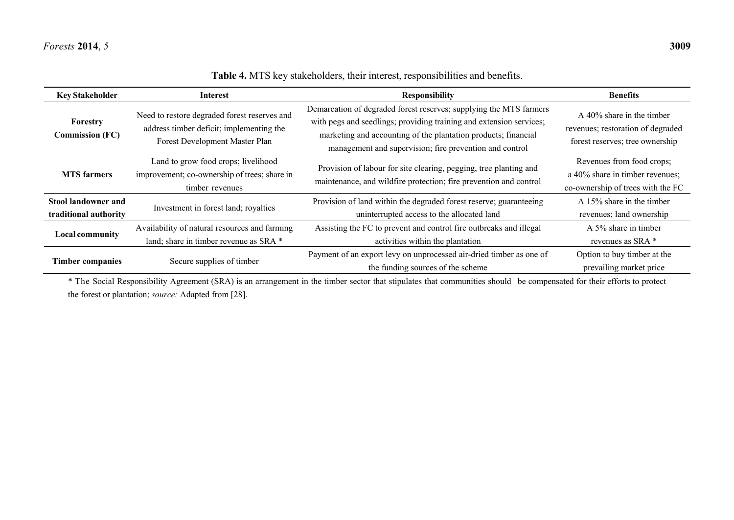$\overline{\phantom{a}}$ 

 $\overline{\phantom{0}}$ 

 $\overline{\phantom{0}}$ 

| <b>Key Stakeholder</b>                       | Interest                                                                                                                   | <b>Responsibility</b>                                                                                                                                                                                                                                                  | <b>Benefits</b>                                                                                          |
|----------------------------------------------|----------------------------------------------------------------------------------------------------------------------------|------------------------------------------------------------------------------------------------------------------------------------------------------------------------------------------------------------------------------------------------------------------------|----------------------------------------------------------------------------------------------------------|
| Forestry<br><b>Commission (FC)</b>           | Need to restore degraded forest reserves and<br>address timber deficit; implementing the<br>Forest Development Master Plan | Demarcation of degraded forest reserves; supplying the MTS farmers<br>with pegs and seedlings; providing training and extension services;<br>marketing and accounting of the plantation products; financial<br>management and supervision; fire prevention and control | $\Delta$ 40% share in the timber<br>revenues; restoration of degraded<br>forest reserves; tree ownership |
| <b>MTS</b> farmers                           | Land to grow food crops; livelihood<br>improvement; co-ownership of trees; share in<br>timber revenues                     | Provision of labour for site clearing, pegging, tree planting and<br>maintenance, and wildfire protection; fire prevention and control                                                                                                                                 | Revenues from food crops;<br>a 40% share in timber revenues;<br>co-ownership of trees with the FC        |
| Stool landowner and<br>traditional authority | Investment in forest land; royalties                                                                                       | Provision of land within the degraded forest reserve; guaranteeing<br>uninterrupted access to the allocated land                                                                                                                                                       | A 15% share in the timber<br>revenues; land ownership                                                    |
| <b>Local community</b>                       | Availability of natural resources and farming<br>land; share in timber revenue as SRA *                                    | Assisting the FC to prevent and control fire outbreaks and illegal<br>activities within the plantation                                                                                                                                                                 | A 5% share in timber<br>revenues as SRA *                                                                |
| <b>Timber companies</b>                      | Secure supplies of timber                                                                                                  | Payment of an export levy on unprocessed air-dried timber as one of<br>the funding sources of the scheme                                                                                                                                                               | Option to buy timber at the<br>prevailing market price                                                   |

**Table 4.** MTS key stakeholders, their interest, responsibilities and benefits.

\* The Social Responsibility Agreement (SRA) is an arrangement in the timber sector that stipulates that communities should be compensated for their efforts to protect the forest or plantation; *source:* Adapted from [28].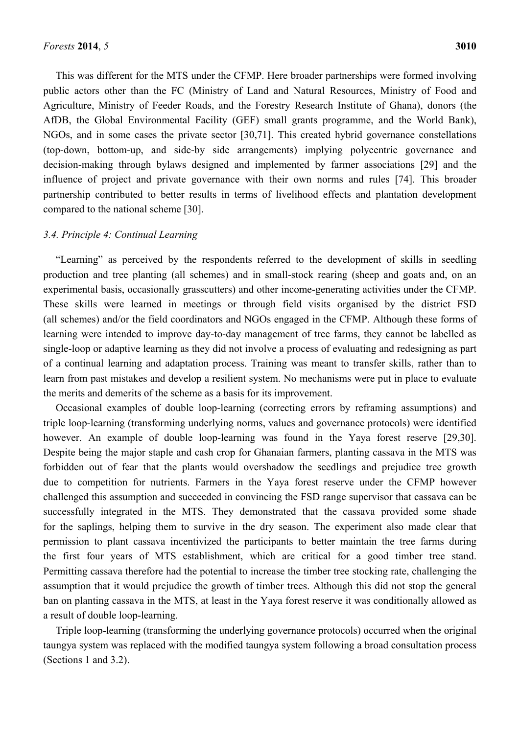This was different for the MTS under the CFMP. Here broader partnerships were formed involving public actors other than the FC (Ministry of Land and Natural Resources, Ministry of Food and Agriculture, Ministry of Feeder Roads, and the Forestry Research Institute of Ghana), donors (the AfDB, the Global Environmental Facility (GEF) small grants programme, and the World Bank), NGOs, and in some cases the private sector [30,71]. This created hybrid governance constellations (top-down, bottom-up, and side-by side arrangements) implying polycentric governance and decision-making through bylaws designed and implemented by farmer associations [29] and the influence of project and private governance with their own norms and rules [74]. This broader partnership contributed to better results in terms of livelihood effects and plantation development compared to the national scheme [30].

#### *3.4. Principle 4: Continual Learning*

"Learning" as perceived by the respondents referred to the development of skills in seedling production and tree planting (all schemes) and in small-stock rearing (sheep and goats and, on an experimental basis, occasionally grasscutters) and other income-generating activities under the CFMP. These skills were learned in meetings or through field visits organised by the district FSD (all schemes) and/or the field coordinators and NGOs engaged in the CFMP. Although these forms of learning were intended to improve day-to-day management of tree farms, they cannot be labelled as single-loop or adaptive learning as they did not involve a process of evaluating and redesigning as part of a continual learning and adaptation process. Training was meant to transfer skills, rather than to learn from past mistakes and develop a resilient system. No mechanisms were put in place to evaluate the merits and demerits of the scheme as a basis for its improvement.

Occasional examples of double loop-learning (correcting errors by reframing assumptions) and triple loop-learning (transforming underlying norms, values and governance protocols) were identified however. An example of double loop-learning was found in the Yaya forest reserve [29,30]. Despite being the major staple and cash crop for Ghanaian farmers, planting cassava in the MTS was forbidden out of fear that the plants would overshadow the seedlings and prejudice tree growth due to competition for nutrients. Farmers in the Yaya forest reserve under the CFMP however challenged this assumption and succeeded in convincing the FSD range supervisor that cassava can be successfully integrated in the MTS. They demonstrated that the cassava provided some shade for the saplings, helping them to survive in the dry season. The experiment also made clear that permission to plant cassava incentivized the participants to better maintain the tree farms during the first four years of MTS establishment, which are critical for a good timber tree stand. Permitting cassava therefore had the potential to increase the timber tree stocking rate, challenging the assumption that it would prejudice the growth of timber trees. Although this did not stop the general ban on planting cassava in the MTS, at least in the Yaya forest reserve it was conditionally allowed as a result of double loop-learning.

Triple loop-learning (transforming the underlying governance protocols) occurred when the original taungya system was replaced with the modified taungya system following a broad consultation process (Sections 1 and 3.2).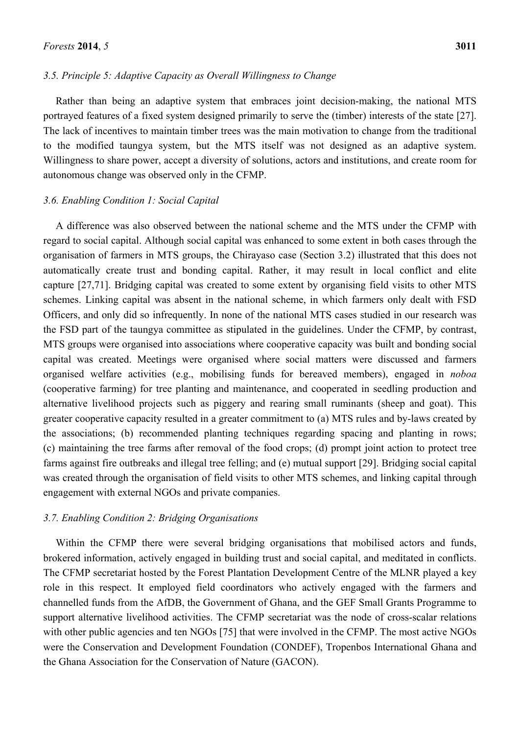#### *3.5. Principle 5: Adaptive Capacity as Overall Willingness to Change*

Rather than being an adaptive system that embraces joint decision-making, the national MTS portrayed features of a fixed system designed primarily to serve the (timber) interests of the state [27]. The lack of incentives to maintain timber trees was the main motivation to change from the traditional to the modified taungya system, but the MTS itself was not designed as an adaptive system. Willingness to share power, accept a diversity of solutions, actors and institutions, and create room for autonomous change was observed only in the CFMP.

#### *3.6. Enabling Condition 1: Social Capital*

A difference was also observed between the national scheme and the MTS under the CFMP with regard to social capital. Although social capital was enhanced to some extent in both cases through the organisation of farmers in MTS groups, the Chirayaso case (Section 3.2) illustrated that this does not automatically create trust and bonding capital. Rather, it may result in local conflict and elite capture [27,71]. Bridging capital was created to some extent by organising field visits to other MTS schemes. Linking capital was absent in the national scheme, in which farmers only dealt with FSD Officers, and only did so infrequently. In none of the national MTS cases studied in our research was the FSD part of the taungya committee as stipulated in the guidelines. Under the CFMP, by contrast, MTS groups were organised into associations where cooperative capacity was built and bonding social capital was created. Meetings were organised where social matters were discussed and farmers organised welfare activities (e.g., mobilising funds for bereaved members), engaged in *noboa* (cooperative farming) for tree planting and maintenance, and cooperated in seedling production and alternative livelihood projects such as piggery and rearing small ruminants (sheep and goat). This greater cooperative capacity resulted in a greater commitment to (a) MTS rules and by-laws created by the associations; (b) recommended planting techniques regarding spacing and planting in rows; (c) maintaining the tree farms after removal of the food crops; (d) prompt joint action to protect tree farms against fire outbreaks and illegal tree felling; and (e) mutual support [29]. Bridging social capital was created through the organisation of field visits to other MTS schemes, and linking capital through engagement with external NGOs and private companies.

#### *3.7. Enabling Condition 2: Bridging Organisations*

Within the CFMP there were several bridging organisations that mobilised actors and funds, brokered information, actively engaged in building trust and social capital, and meditated in conflicts. The CFMP secretariat hosted by the Forest Plantation Development Centre of the MLNR played a key role in this respect. It employed field coordinators who actively engaged with the farmers and channelled funds from the AfDB, the Government of Ghana, and the GEF Small Grants Programme to support alternative livelihood activities. The CFMP secretariat was the node of cross-scalar relations with other public agencies and ten NGOs [75] that were involved in the CFMP. The most active NGOs were the Conservation and Development Foundation (CONDEF), Tropenbos International Ghana and the Ghana Association for the Conservation of Nature (GACON).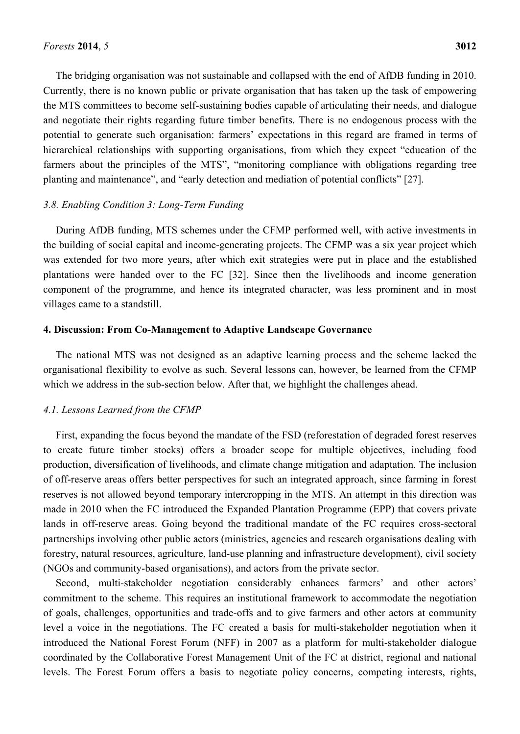The bridging organisation was not sustainable and collapsed with the end of AfDB funding in 2010. Currently, there is no known public or private organisation that has taken up the task of empowering the MTS committees to become self-sustaining bodies capable of articulating their needs, and dialogue and negotiate their rights regarding future timber benefits. There is no endogenous process with the potential to generate such organisation: farmers' expectations in this regard are framed in terms of hierarchical relationships with supporting organisations, from which they expect "education of the farmers about the principles of the MTS", "monitoring compliance with obligations regarding tree planting and maintenance", and "early detection and mediation of potential conflicts" [27].

#### *3.8. Enabling Condition 3: Long-Term Funding*

During AfDB funding, MTS schemes under the CFMP performed well, with active investments in the building of social capital and income-generating projects. The CFMP was a six year project which was extended for two more years, after which exit strategies were put in place and the established plantations were handed over to the FC [32]. Since then the livelihoods and income generation component of the programme, and hence its integrated character, was less prominent and in most villages came to a standstill.

#### **4. Discussion: From Co-Management to Adaptive Landscape Governance**

The national MTS was not designed as an adaptive learning process and the scheme lacked the organisational flexibility to evolve as such. Several lessons can, however, be learned from the CFMP which we address in the sub-section below. After that, we highlight the challenges ahead.

#### *4.1. Lessons Learned from the CFMP*

First, expanding the focus beyond the mandate of the FSD (reforestation of degraded forest reserves to create future timber stocks) offers a broader scope for multiple objectives, including food production, diversification of livelihoods, and climate change mitigation and adaptation. The inclusion of off-reserve areas offers better perspectives for such an integrated approach, since farming in forest reserves is not allowed beyond temporary intercropping in the MTS. An attempt in this direction was made in 2010 when the FC introduced the Expanded Plantation Programme (EPP) that covers private lands in off-reserve areas. Going beyond the traditional mandate of the FC requires cross-sectoral partnerships involving other public actors (ministries, agencies and research organisations dealing with forestry, natural resources, agriculture, land-use planning and infrastructure development), civil society (NGOs and community-based organisations), and actors from the private sector.

Second, multi-stakeholder negotiation considerably enhances farmers' and other actors' commitment to the scheme. This requires an institutional framework to accommodate the negotiation of goals, challenges, opportunities and trade-offs and to give farmers and other actors at community level a voice in the negotiations. The FC created a basis for multi-stakeholder negotiation when it introduced the National Forest Forum (NFF) in 2007 as a platform for multi-stakeholder dialogue coordinated by the Collaborative Forest Management Unit of the FC at district, regional and national levels. The Forest Forum offers a basis to negotiate policy concerns, competing interests, rights,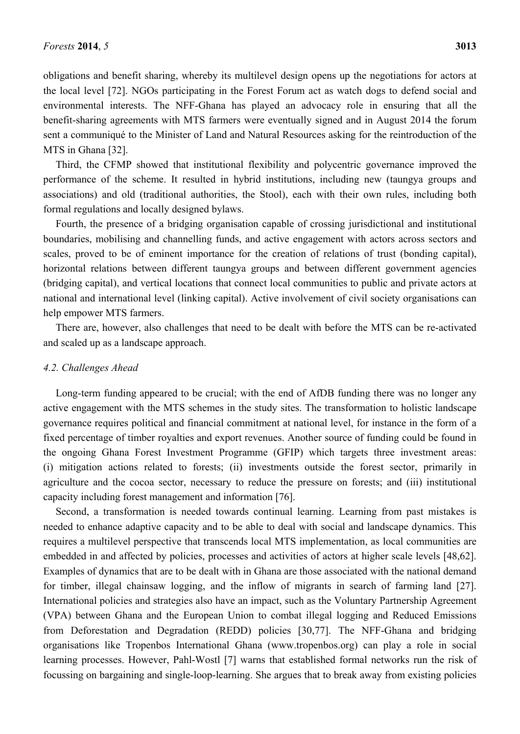obligations and benefit sharing, whereby its multilevel design opens up the negotiations for actors at the local level [72]. NGOs participating in the Forest Forum act as watch dogs to defend social and environmental interests. The NFF-Ghana has played an advocacy role in ensuring that all the benefit-sharing agreements with MTS farmers were eventually signed and in August 2014 the forum sent a communiqué to the Minister of Land and Natural Resources asking for the reintroduction of the MTS in Ghana [32].

Third, the CFMP showed that institutional flexibility and polycentric governance improved the performance of the scheme. It resulted in hybrid institutions, including new (taungya groups and associations) and old (traditional authorities, the Stool), each with their own rules, including both formal regulations and locally designed bylaws.

Fourth, the presence of a bridging organisation capable of crossing jurisdictional and institutional boundaries, mobilising and channelling funds, and active engagement with actors across sectors and scales, proved to be of eminent importance for the creation of relations of trust (bonding capital), horizontal relations between different taungya groups and between different government agencies (bridging capital), and vertical locations that connect local communities to public and private actors at national and international level (linking capital). Active involvement of civil society organisations can help empower MTS farmers.

There are, however, also challenges that need to be dealt with before the MTS can be re-activated and scaled up as a landscape approach.

## *4.2. Challenges Ahead*

Long-term funding appeared to be crucial; with the end of AfDB funding there was no longer any active engagement with the MTS schemes in the study sites. The transformation to holistic landscape governance requires political and financial commitment at national level, for instance in the form of a fixed percentage of timber royalties and export revenues. Another source of funding could be found in the ongoing Ghana Forest Investment Programme (GFIP) which targets three investment areas: (i) mitigation actions related to forests; (ii) investments outside the forest sector, primarily in agriculture and the cocoa sector, necessary to reduce the pressure on forests; and (iii) institutional capacity including forest management and information [76].

Second, a transformation is needed towards continual learning. Learning from past mistakes is needed to enhance adaptive capacity and to be able to deal with social and landscape dynamics. This requires a multilevel perspective that transcends local MTS implementation, as local communities are embedded in and affected by policies, processes and activities of actors at higher scale levels [48,62]. Examples of dynamics that are to be dealt with in Ghana are those associated with the national demand for timber, illegal chainsaw logging, and the inflow of migrants in search of farming land [27]. International policies and strategies also have an impact, such as the Voluntary Partnership Agreement (VPA) between Ghana and the European Union to combat illegal logging and Reduced Emissions from Deforestation and Degradation (REDD) policies [30,77]. The NFF-Ghana and bridging organisations like Tropenbos International Ghana (www.tropenbos.org) can play a role in social learning processes. However, Pahl-Wostl [7] warns that established formal networks run the risk of focussing on bargaining and single-loop-learning. She argues that to break away from existing policies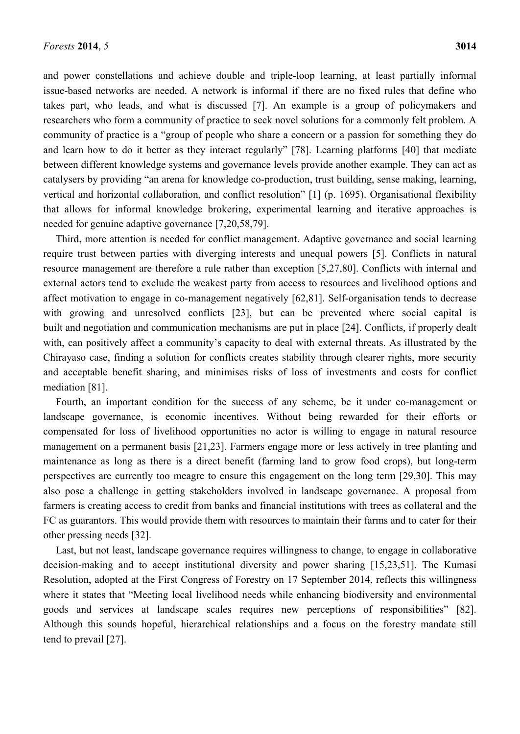and power constellations and achieve double and triple-loop learning, at least partially informal issue-based networks are needed. A network is informal if there are no fixed rules that define who takes part, who leads, and what is discussed [7]. An example is a group of policymakers and researchers who form a community of practice to seek novel solutions for a commonly felt problem. A community of practice is a "group of people who share a concern or a passion for something they do and learn how to do it better as they interact regularly" [78]. Learning platforms [40] that mediate between different knowledge systems and governance levels provide another example. They can act as catalysers by providing "an arena for knowledge co-production, trust building, sense making, learning, vertical and horizontal collaboration, and conflict resolution" [1] (p. 1695). Organisational flexibility that allows for informal knowledge brokering, experimental learning and iterative approaches is needed for genuine adaptive governance [7,20,58,79].

Third, more attention is needed for conflict management. Adaptive governance and social learning require trust between parties with diverging interests and unequal powers [5]. Conflicts in natural resource management are therefore a rule rather than exception [5,27,80]. Conflicts with internal and external actors tend to exclude the weakest party from access to resources and livelihood options and affect motivation to engage in co-management negatively [62,81]. Self-organisation tends to decrease with growing and unresolved conflicts [23], but can be prevented where social capital is built and negotiation and communication mechanisms are put in place [24]. Conflicts, if properly dealt with, can positively affect a community's capacity to deal with external threats. As illustrated by the Chirayaso case, finding a solution for conflicts creates stability through clearer rights, more security and acceptable benefit sharing, and minimises risks of loss of investments and costs for conflict mediation [81].

Fourth, an important condition for the success of any scheme, be it under co-management or landscape governance, is economic incentives. Without being rewarded for their efforts or compensated for loss of livelihood opportunities no actor is willing to engage in natural resource management on a permanent basis [21,23]. Farmers engage more or less actively in tree planting and maintenance as long as there is a direct benefit (farming land to grow food crops), but long-term perspectives are currently too meagre to ensure this engagement on the long term [29,30]. This may also pose a challenge in getting stakeholders involved in landscape governance. A proposal from farmers is creating access to credit from banks and financial institutions with trees as collateral and the FC as guarantors. This would provide them with resources to maintain their farms and to cater for their other pressing needs [32].

Last, but not least, landscape governance requires willingness to change, to engage in collaborative decision-making and to accept institutional diversity and power sharing [15,23,51]. The Kumasi Resolution, adopted at the First Congress of Forestry on 17 September 2014, reflects this willingness where it states that "Meeting local livelihood needs while enhancing biodiversity and environmental goods and services at landscape scales requires new perceptions of responsibilities" [82]. Although this sounds hopeful, hierarchical relationships and a focus on the forestry mandate still tend to prevail [27].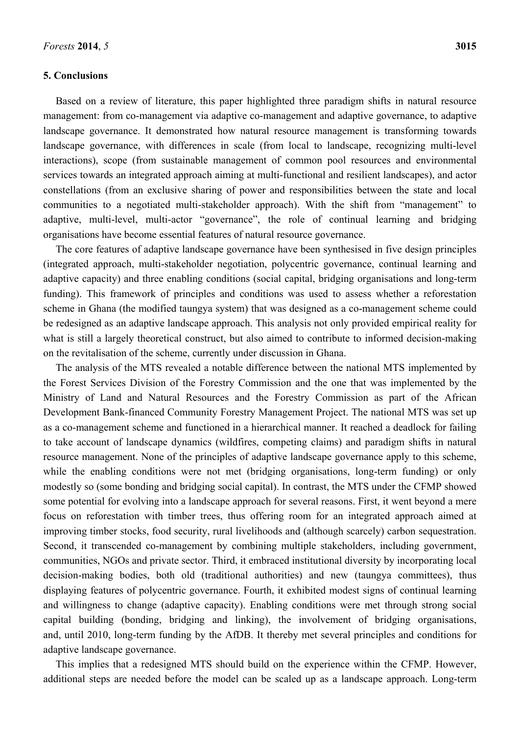#### **5. Conclusions**

Based on a review of literature, this paper highlighted three paradigm shifts in natural resource management: from co-management via adaptive co-management and adaptive governance, to adaptive landscape governance. It demonstrated how natural resource management is transforming towards landscape governance, with differences in scale (from local to landscape, recognizing multi-level interactions), scope (from sustainable management of common pool resources and environmental services towards an integrated approach aiming at multi-functional and resilient landscapes), and actor constellations (from an exclusive sharing of power and responsibilities between the state and local communities to a negotiated multi-stakeholder approach). With the shift from "management" to adaptive, multi-level, multi-actor "governance", the role of continual learning and bridging organisations have become essential features of natural resource governance.

The core features of adaptive landscape governance have been synthesised in five design principles (integrated approach, multi-stakeholder negotiation, polycentric governance, continual learning and adaptive capacity) and three enabling conditions (social capital, bridging organisations and long-term funding). This framework of principles and conditions was used to assess whether a reforestation scheme in Ghana (the modified taungya system) that was designed as a co-management scheme could be redesigned as an adaptive landscape approach. This analysis not only provided empirical reality for what is still a largely theoretical construct, but also aimed to contribute to informed decision-making on the revitalisation of the scheme, currently under discussion in Ghana.

The analysis of the MTS revealed a notable difference between the national MTS implemented by the Forest Services Division of the Forestry Commission and the one that was implemented by the Ministry of Land and Natural Resources and the Forestry Commission as part of the African Development Bank-financed Community Forestry Management Project. The national MTS was set up as a co-management scheme and functioned in a hierarchical manner. It reached a deadlock for failing to take account of landscape dynamics (wildfires, competing claims) and paradigm shifts in natural resource management. None of the principles of adaptive landscape governance apply to this scheme, while the enabling conditions were not met (bridging organisations, long-term funding) or only modestly so (some bonding and bridging social capital). In contrast, the MTS under the CFMP showed some potential for evolving into a landscape approach for several reasons. First, it went beyond a mere focus on reforestation with timber trees, thus offering room for an integrated approach aimed at improving timber stocks, food security, rural livelihoods and (although scarcely) carbon sequestration. Second, it transcended co-management by combining multiple stakeholders, including government, communities, NGOs and private sector. Third, it embraced institutional diversity by incorporating local decision-making bodies, both old (traditional authorities) and new (taungya committees), thus displaying features of polycentric governance. Fourth, it exhibited modest signs of continual learning and willingness to change (adaptive capacity). Enabling conditions were met through strong social capital building (bonding, bridging and linking), the involvement of bridging organisations, and, until 2010, long-term funding by the AfDB. It thereby met several principles and conditions for adaptive landscape governance.

This implies that a redesigned MTS should build on the experience within the CFMP. However, additional steps are needed before the model can be scaled up as a landscape approach. Long-term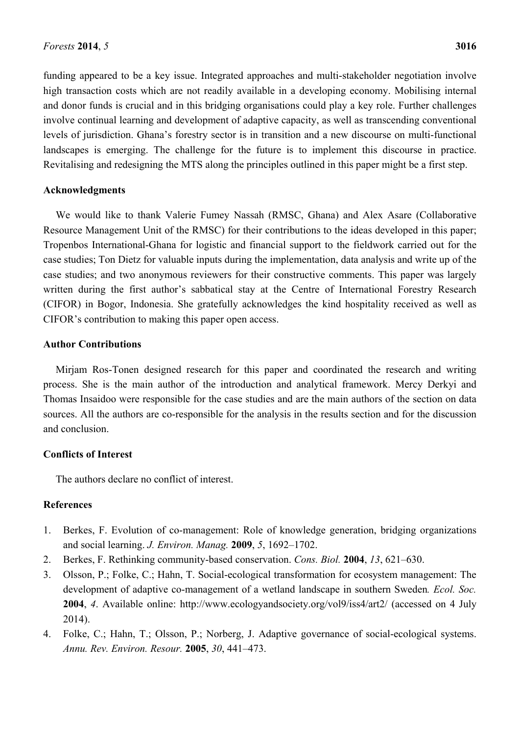funding appeared to be a key issue. Integrated approaches and multi-stakeholder negotiation involve high transaction costs which are not readily available in a developing economy. Mobilising internal and donor funds is crucial and in this bridging organisations could play a key role. Further challenges involve continual learning and development of adaptive capacity, as well as transcending conventional levels of jurisdiction. Ghana's forestry sector is in transition and a new discourse on multi-functional landscapes is emerging. The challenge for the future is to implement this discourse in practice. Revitalising and redesigning the MTS along the principles outlined in this paper might be a first step.

## **Acknowledgments**

We would like to thank Valerie Fumey Nassah (RMSC, Ghana) and Alex Asare (Collaborative Resource Management Unit of the RMSC) for their contributions to the ideas developed in this paper; Tropenbos International-Ghana for logistic and financial support to the fieldwork carried out for the case studies; Ton Dietz for valuable inputs during the implementation, data analysis and write up of the case studies; and two anonymous reviewers for their constructive comments. This paper was largely written during the first author's sabbatical stay at the Centre of International Forestry Research (CIFOR) in Bogor, Indonesia. She gratefully acknowledges the kind hospitality received as well as CIFOR's contribution to making this paper open access.

## **Author Contributions**

Mirjam Ros-Tonen designed research for this paper and coordinated the research and writing process. She is the main author of the introduction and analytical framework. Mercy Derkyi and Thomas Insaidoo were responsible for the case studies and are the main authors of the section on data sources. All the authors are co-responsible for the analysis in the results section and for the discussion and conclusion.

# **Conflicts of Interest**

The authors declare no conflict of interest.

# **References**

- 1. Berkes, F. Evolution of co-management: Role of knowledge generation, bridging organizations and social learning. *J. Environ. Manag.* **2009**, *5*, 1692–1702.
- 2. Berkes, F. Rethinking community-based conservation. *Cons. Biol.* **2004**, *13*, 621–630.
- 3. Olsson, P.; Folke, C.; Hahn, T. Social-ecological transformation for ecosystem management: The development of adaptive co-management of a wetland landscape in southern Sweden*. Ecol. Soc.*  **2004**, *4*. Available online: http://www.ecologyandsociety.org/vol9/iss4/art2/ (accessed on 4 July 2014).
- 4. Folke, C.; Hahn, T.; Olsson, P.; Norberg, J. Adaptive governance of social-ecological systems. *Annu. Rev. Environ. Resour.* **2005**, *30*, 441–473.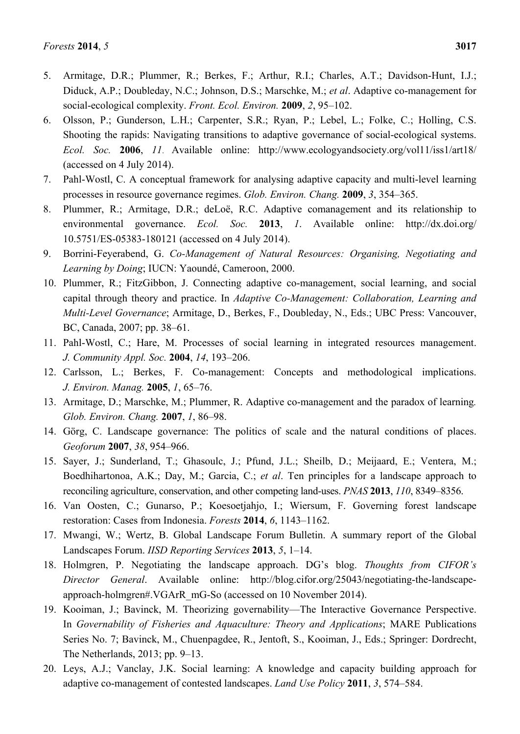- 5. Armitage, D.R.; Plummer, R.; Berkes, F.; Arthur, R.I.; Charles, A.T.; Davidson-Hunt, I.J.; Diduck, A.P.; Doubleday, N.C.; Johnson, D.S.; Marschke, M.; *et al*. Adaptive co-management for social-ecological complexity. *Front. Ecol. Environ.* **2009**, *2*, 95–102.
- 6. Olsson, P.; Gunderson, L.H.; Carpenter, S.R.; Ryan, P.; Lebel, L.; Folke, C.; Holling, C.S. Shooting the rapids: Navigating transitions to adaptive governance of social-ecological systems. *Ecol. Soc.* **2006**, *11*. Available online: http://www.ecologyandsociety.org/vol11/iss1/art18/ (accessed on 4 July 2014).
- 7. Pahl-Wostl, C. A conceptual framework for analysing adaptive capacity and multi-level learning processes in resource governance regimes. *Glob. Environ. Chang.* **2009**, *3*, 354–365.
- 8. Plummer, R.; Armitage, D.R.; deLoë, R.C. Adaptive comanagement and its relationship to environmental governance. *Ecol. Soc.* **2013**, *1*. Available online: http://dx.doi.org/ 10.5751/ES-05383-180121 (accessed on 4 July 2014).
- 9. Borrini-Feyerabend, G. *Co-Management of Natural Resources: Organising, Negotiating and Learning by Doing*; IUCN: Yaoundé, Cameroon, 2000.
- 10. Plummer, R.; FitzGibbon, J. Connecting adaptive co-management, social learning, and social capital through theory and practice. In *Adaptive Co-Management: Collaboration, Learning and Multi-Level Governance*; Armitage, D., Berkes, F., Doubleday, N., Eds.; UBC Press: Vancouver, BC, Canada, 2007; pp. 38–61.
- 11. Pahl-Wostl, C.; Hare, M. Processes of social learning in integrated resources management. *J. Community Appl. Soc.* **2004**, *14*, 193–206.
- 12. Carlsson, L.; Berkes, F. Co-management: Concepts and methodological implications. *J. Environ. Manag.* **2005**, *1*, 65–76.
- 13. Armitage, D.; Marschke, M.; Plummer, R. Adaptive co-management and the paradox of learning*. Glob. Environ. Chang.* **2007**, *1*, 86–98.
- 14. Görg, C. Landscape governance: The politics of scale and the natural conditions of places. *Geoforum* **2007**, *38*, 954–966.
- 15. Sayer, J.; Sunderland, T.; Ghasoulc, J.; Pfund, J.L.; Sheilb, D.; Meijaard, E.; Ventera, M.; Boedhihartonoa, A.K.; Day, M.; Garcia, C.; *et al*. Ten principles for a landscape approach to reconciling agriculture, conservation, and other competing land-uses. *PNAS* **2013**, *110*, 8349–8356.
- 16. Van Oosten, C.; Gunarso, P.; Koesoetjahjo, I.; Wiersum, F. Governing forest landscape restoration: Cases from Indonesia. *Forests* **2014**, *6*, 1143–1162.
- 17. Mwangi, W.; Wertz, B. Global Landscape Forum Bulletin. A summary report of the Global Landscapes Forum. *IISD Reporting Services* **2013**, *5*, 1–14.
- 18. Holmgren, P. Negotiating the landscape approach. DG's blog. *Thoughts from CIFOR's Director General*. Available online: http://blog.cifor.org/25043/negotiating-the-landscapeapproach-holmgren#.VGArR\_mG-So (accessed on 10 November 2014).
- 19. Kooiman, J.; Bavinck, M. Theorizing governability—The Interactive Governance Perspective. In *Governability of Fisheries and Aquaculture: Theory and Applications*; MARE Publications Series No. 7; Bavinck, M., Chuenpagdee, R., Jentoft, S., Kooiman, J., Eds.; Springer: Dordrecht, The Netherlands, 2013; pp. 9–13.
- 20. Leys, A.J.; Vanclay, J.K. Social learning: A knowledge and capacity building approach for adaptive co-management of contested landscapes. *Land Use Policy* **2011**, *3*, 574–584.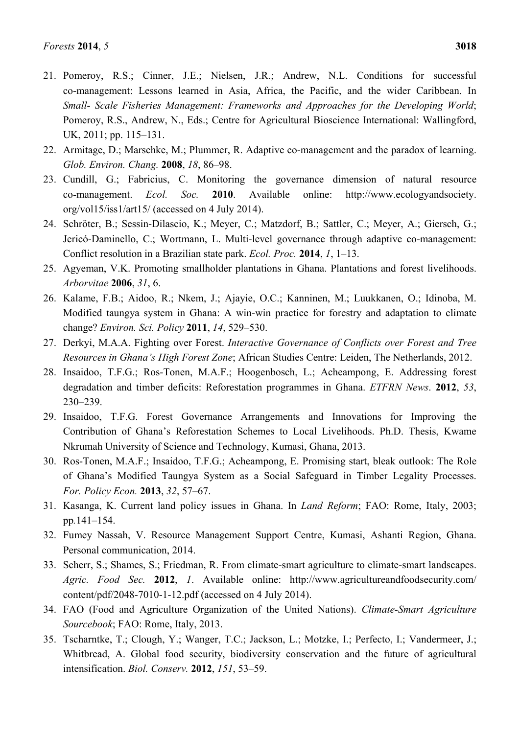- 21. Pomeroy, R.S.; Cinner, J.E.; Nielsen, J.R.; Andrew, N.L. Conditions for successful co-management: Lessons learned in Asia, Africa, the Pacific, and the wider Caribbean. In *Small- Scale Fisheries Management: Frameworks and Approaches for the Developing World*; Pomeroy, R.S., Andrew, N., Eds.; Centre for Agricultural Bioscience International: Wallingford, UK, 2011; pp. 115–131.
- 22. Armitage, D.; Marschke, M.; Plummer, R. Adaptive co-management and the paradox of learning. *Glob. Environ. Chang.* **2008**, *18*, 86–98.
- 23. Cundill, G.; Fabricius, C. Monitoring the governance dimension of natural resource co-management. *Ecol. Soc.* **2010**. Available online: http://www.ecologyandsociety. org/vol15/iss1/art15/ (accessed on 4 July 2014).
- 24. Schröter, B.; Sessin-Dilascio, K.; Meyer, C.; Matzdorf, B.; Sattler, C.; Meyer, A.; Giersch, G.; Jericó-Daminello, C.; Wortmann, L. Multi-level governance through adaptive co-management: Conflict resolution in a Brazilian state park. *Ecol. Proc.* **2014**, *1*, 1–13.
- 25. Agyeman, V.K. Promoting smallholder plantations in Ghana. Plantations and forest livelihoods. *Arborvitae* **2006**, *31*, 6.
- 26. Kalame, F.B.; Aidoo, R.; Nkem, J.; Ajayie, O.C.; Kanninen, M.; Luukkanen, O.; Idinoba, M. Modified taungya system in Ghana: A win-win practice for forestry and adaptation to climate change? *Environ. Sci. Policy* **2011**, *14*, 529–530.
- 27. Derkyi, M.A.A. Fighting over Forest. *Interactive Governance of Conflicts over Forest and Tree Resources in Ghana's High Forest Zone*; African Studies Centre: Leiden, The Netherlands, 2012.
- 28. Insaidoo, T.F.G.; Ros-Tonen, M.A.F.; Hoogenbosch, L.; Acheampong, E. Addressing forest degradation and timber deficits: Reforestation programmes in Ghana. *ETFRN News*. **2012**, *53*, 230–239.
- 29. Insaidoo, T.F.G. Forest Governance Arrangements and Innovations for Improving the Contribution of Ghana's Reforestation Schemes to Local Livelihoods. Ph.D. Thesis, Kwame Nkrumah University of Science and Technology, Kumasi, Ghana, 2013.
- 30. Ros-Tonen, M.A.F.; Insaidoo, T.F.G.; Acheampong, E. Promising start, bleak outlook: The Role of Ghana's Modified Taungya System as a Social Safeguard in Timber Legality Processes. *For. Policy Econ.* **2013**, *32*, 57–67.
- 31. Kasanga, K. Current land policy issues in Ghana. In *Land Reform*; FAO: Rome, Italy, 2003; pp*.*141–154.
- 32. Fumey Nassah, V. Resource Management Support Centre, Kumasi, Ashanti Region, Ghana. Personal communication, 2014.
- 33. Scherr, S.; Shames, S.; Friedman, R. From climate-smart agriculture to climate-smart landscapes. *Agric. Food Sec.* **2012**, *1*. Available online: http://www.agricultureandfoodsecurity.com/ content/pdf/2048-7010-1-12.pdf (accessed on 4 July 2014).
- 34. FAO (Food and Agriculture Organization of the United Nations). *Climate-Smart Agriculture Sourcebook*; FAO: Rome, Italy, 2013.
- 35. Tscharntke, T.; Clough, Y.; Wanger, T.C.; Jackson, L.; Motzke, I.; Perfecto, I.; Vandermeer, J.; Whitbread, A. Global food security, biodiversity conservation and the future of agricultural intensification. *Biol. Conserv.* **2012**, *151*, 53–59.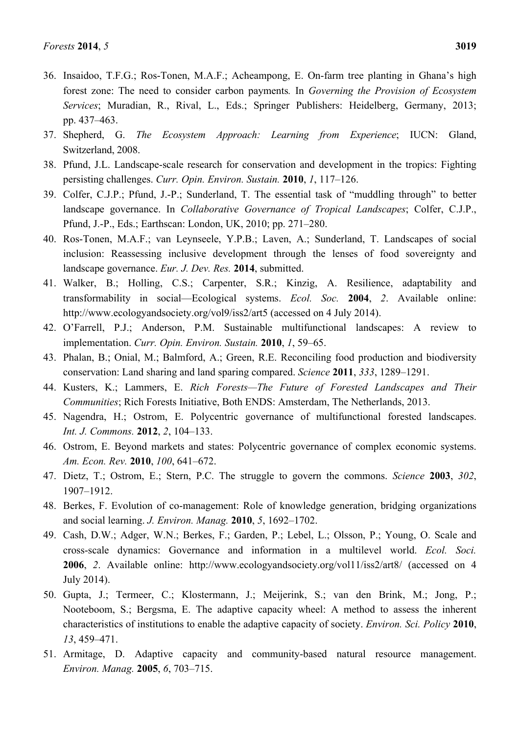- 37. Shepherd, G. *The Ecosystem Approach: Learning from Experience*; IUCN: Gland, Switzerland, 2008.
- 38. Pfund, J.L. Landscape-scale research for conservation and development in the tropics: Fighting persisting challenges. *Curr. Opin. Environ. Sustain.* **2010**, *1*, 117–126.
- 39. Colfer, C.J.P.; Pfund, J.-P.; Sunderland, T. The essential task of "muddling through" to better landscape governance. In *Collaborative Governance of Tropical Landscapes*; Colfer, C.J.P., Pfund, J.-P., Eds.; Earthscan: London, UK, 2010; pp. 271–280.
- 40. Ros-Tonen, M.A.F.; van Leynseele, Y.P.B.; Laven, A.; Sunderland, T. Landscapes of social inclusion: Reassessing inclusive development through the lenses of food sovereignty and landscape governance. *Eur. J. Dev. Res.* **2014**, submitted.
- 41. Walker, B.; Holling, C.S.; Carpenter, S.R.; Kinzig, A. Resilience, adaptability and transformability in social—Ecological systems. *Ecol. Soc.* **2004**, *2*. Available online: http://www.ecologyandsociety.org/vol9/iss2/art5 (accessed on 4 July 2014).
- 42. O'Farrell, P.J.; Anderson, P.M. Sustainable multifunctional landscapes: A review to implementation. *Curr. Opin. Environ. Sustain.* **2010**, *1*, 59–65.
- 43. Phalan, B.; Onial, M.; Balmford, A.; Green, R.E. Reconciling food production and biodiversity conservation: Land sharing and land sparing compared. *Science* **2011**, *333*, 1289–1291.
- 44. Kusters, K.; Lammers, E. *Rich Forests—The Future of Forested Landscapes and Their Communities*; Rich Forests Initiative, Both ENDS: Amsterdam, The Netherlands, 2013.
- 45. Nagendra, H.; Ostrom, E. Polycentric governance of multifunctional forested landscapes. *Int. J. Commons.* **2012**, *2*, 104–133.
- 46. Ostrom, E. Beyond markets and states: Polycentric governance of complex economic systems. *Am. Econ. Rev.* **2010**, *100*, 641–672.
- 47. Dietz, T.; Ostrom, E.; Stern, P.C. The struggle to govern the commons. *Science* **2003**, *302*, 1907–1912.
- 48. Berkes, F. Evolution of co-management: Role of knowledge generation, bridging organizations and social learning. *J. Environ. Manag.* **2010**, *5*, 1692–1702.
- 49. Cash, D.W.; Adger, W.N.; Berkes, F.; Garden, P.; Lebel, L.; Olsson, P.; Young, O. Scale and cross-scale dynamics: Governance and information in a multilevel world. *Ecol. Soci.*  **2006**, *2*. Available online: http://www.ecologyandsociety.org/vol11/iss2/art8/ (accessed on 4 July 2014).
- 50. Gupta, J.; Termeer, C.; Klostermann, J.; Meijerink, S.; van den Brink, M.; Jong, P.; Nooteboom, S.; Bergsma, E. The adaptive capacity wheel: A method to assess the inherent characteristics of institutions to enable the adaptive capacity of society. *Environ. Sci. Policy* **2010**, *13*, 459–471.
- 51. Armitage, D. Adaptive capacity and community-based natural resource management. *Environ. Manag.* **2005**, *6*, 703–715.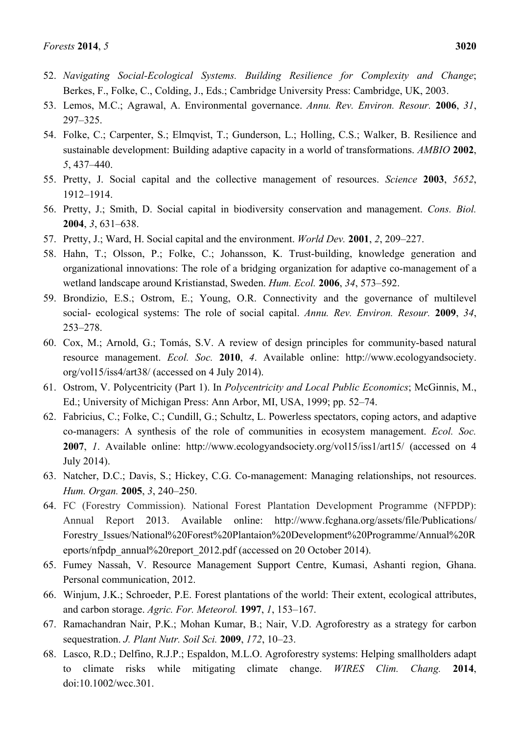- 52. *Navigating Social-Ecological Systems. Building Resilience for Complexity and Change*; Berkes, F., Folke, C., Colding, J., Eds.; Cambridge University Press: Cambridge, UK, 2003.
- 53. Lemos, M.C.; Agrawal, A. Environmental governance. *Annu. Rev. Environ. Resour.* **2006**, *31*, 297–325.
- 54. Folke, C.; Carpenter, S.; Elmqvist, T.; Gunderson, L.; Holling, C.S.; Walker, B. Resilience and sustainable development: Building adaptive capacity in a world of transformations. *AMBIO* **2002**, *5*, 437–440.
- 55. Pretty, J. Social capital and the collective management of resources. *Science* **2003**, *5652*, 1912–1914.
- 56. Pretty, J.; Smith, D. Social capital in biodiversity conservation and management. *Cons. Biol.* **2004**, *3*, 631–638.
- 57. Pretty, J.; Ward, H. Social capital and the environment. *World Dev.* **2001**, *2*, 209–227.
- 58. Hahn, T.; Olsson, P.; Folke, C.; Johansson, K. Trust-building, knowledge generation and organizational innovations: The role of a bridging organization for adaptive co-management of a wetland landscape around Kristianstad, Sweden. *Hum. Ecol.* **2006**, *34*, 573–592.
- 59. Brondizio, E.S.; Ostrom, E.; Young, O.R. Connectivity and the governance of multilevel social- ecological systems: The role of social capital. *Annu. Rev. Environ. Resour.* **2009**, *34*, 253–278.
- 60. Cox, M.; Arnold, G.; Tomás, S.V. A review of design principles for community-based natural resource management. *Ecol. Soc.* **2010**, *4*. Available online: http://www.ecologyandsociety. org/vol15/iss4/art38/ (accessed on 4 July 2014).
- 61. Ostrom, V. Polycentricity (Part 1). In *Polycentricity and Local Public Economics*; McGinnis, M., Ed.; University of Michigan Press: Ann Arbor, MI, USA, 1999; pp. 52–74.
- 62. Fabricius, C.; Folke, C.; Cundill, G.; Schultz, L. Powerless spectators, coping actors, and adaptive co-managers: A synthesis of the role of communities in ecosystem management. *Ecol. Soc.*  **2007**, *1*. Available online: http://www.ecologyandsociety.org/vol15/iss1/art15/ (accessed on 4 July 2014).
- 63. Natcher, D.C.; Davis, S.; Hickey, C.G. Co-management: Managing relationships, not resources. *Hum. Organ.* **2005**, *3*, 240–250.
- 64. FC (Forestry Commission). National Forest Plantation Development Programme (NFPDP): Annual Report 2013. Available online: http://www.fcghana.org/assets/file/Publications/ Forestry\_Issues/National%20Forest%20Plantaion%20Development%20Programme/Annual%20R eports/nfpdp\_annual%20report\_2012.pdf (accessed on 20 October 2014).
- 65. Fumey Nassah, V. Resource Management Support Centre, Kumasi, Ashanti region, Ghana. Personal communication, 2012.
- 66. Winjum, J.K.; Schroeder, P.E. Forest plantations of the world: Their extent, ecological attributes, and carbon storage. *Agric. For. Meteorol.* **1997**, *1*, 153–167.
- 67. Ramachandran Nair, P.K.; Mohan Kumar, B.; Nair, V.D. Agroforestry as a strategy for carbon sequestration. *J. Plant Nutr. Soil Sci.* **2009**, *172*, 10–23.
- 68. Lasco, R.D.; Delfino, R.J.P.; Espaldon, M.L.O. Agroforestry systems: Helping smallholders adapt to climate risks while mitigating climate change. *WIRES Clim. Chang.* **2014**, doi:10.1002/wcc.301.